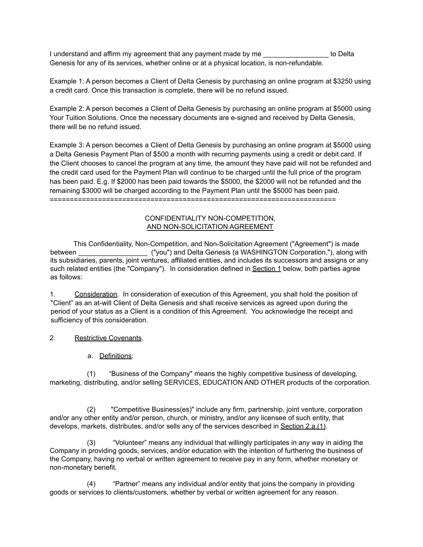I understand and affirm my agreement that any payment made by me \_\_\_\_\_\_\_\_\_\_\_\_\_\_\_\_\_ to Delta Genesis for any of its services, whether online or at a physical location, is non-refundable.

Example 1: A person becomes a Client of Delta Genesis by purchasing an online program at \$3250 using a credit card. Once this transaction is complete, there will be no refund issued.

Example 2: A person becomes a Client of Delta Genesis by purchasing an online program at \$5000 using Your Tuition Solutions. Once the necessary documents are e-signed and received by Delta Genesis, there will be no refund issued.

Example 3: A person becomes a Client of Delta Genesis by purchasing an online program at \$5000 using a Delta Genesis Payment Plan of \$500 a month with recurring payments using a credit or debit card. If the Client chooses to cancel the program at any time, the amount they have paid will not be refunded and the credit card used for the Payment Plan will continue to be charged until the full price of the program has been paid. E.g. If \$2000 has been paid towards the \$5000, the \$2000 will not be refunded and the remaining \$3000 will be charged according to the Payment Plan until the \$5000 has been paid. =======================================================================

### CONFIDENTIALITY NON-COMPETITION, AND NON-SOLICITATION AGREEMENT

This Confidentiality, Non-Competition, and Non-Solicitation Agreement ("Agreement") is made between \_\_\_\_\_\_\_\_\_\_\_\_\_\_\_\_\_\_ ("you") and Delta Genesis (a WASHINGTON Corporation,"), along with its subsidiaries, parents, joint ventures, affiliated entities, and includes its successors and assigns or any such related entities (the "Company"). In consideration defined in Section 1 below, both parties agree as follows:

1. Consideration. In consideration of execution of this Agreement, you shall hold the position of "Client" as an at-will Client of Delta Genesis and shall receive services as agreed upon during the period of your status as a Client is a condition of this Agreement. You acknowledge the receipt and sufficiency of this consideration.

## 2. Restrictive Covenants.

a. Definitions:

(1) "Business of the Company" means the highly competitive business of developing, marketing, distributing, and/or selling SERVICES, EDUCATION AND OTHER products of the corporation.

(2) "Competitive Business(es)" include any firm, partnership, joint venture, corporation and/or any other entity and/or person, church, or ministry, and/or any licensee of such entity, that develops, markets, distributes, and/or sells any of the services described in Section 2.a.(1).

(3) "Volunteer" means any individual that willingly participates in any way in aiding the Company in providing goods, services, and/or education with the intention of furthering the business of the Company, having no verbal or written agreement to receive pay in any form, whether monetary or non-monetary benefit.

(4) "Partner" means any individual and/or entity that joins the company in providing goods or services to clients/customers, whether by verbal or written agreement for any reason.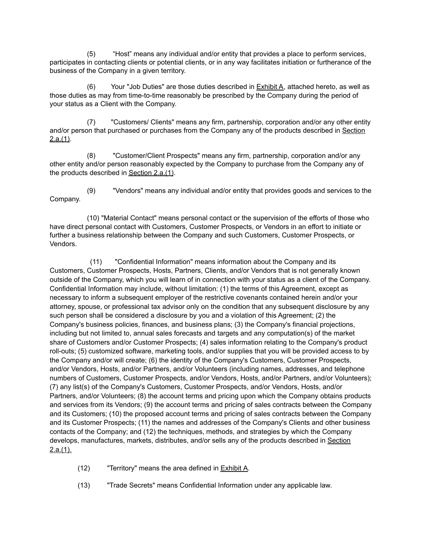(5) "Host" means any individual and/or entity that provides a place to perform services, participates in contacting clients or potential clients, or in any way facilitates initiation or furtherance of the business of the Company in a given territory.

(6) Your "Job Duties" are those duties described in  $Exhibit A$ , attached hereto, as well as those duties as may from time-to-time reasonably be prescribed by the Company during the period of your status as a Client with the Company.

(7) "Customers/ Clients" means any firm, partnership, corporation and/or any other entity and/or person that purchased or purchases from the Company any of the products described in Section  $2.a.(1)$ .

(8) "Customer/Client Prospects" means any firm, partnership, corporation and/or any other entity and/or person reasonably expected by the Company to purchase from the Company any of the products described in Section 2.a.(1).

(9) "Vendors" means any individual and/or entity that provides goods and services to the Company.

(10) "Material Contact" means personal contact or the supervision of the efforts of those who have direct personal contact with Customers, Customer Prospects, or Vendors in an effort to initiate or further a business relationship between the Company and such Customers, Customer Prospects, or Vendors.

(11) "Confidential Information" means information about the Company and its Customers, Customer Prospects, Hosts, Partners, Clients, and/or Vendors that is not generally known outside of the Company, which you will learn of in connection with your status as a client of the Company. Confidential Information may include, without limitation: (1) the terms of this Agreement, except as necessary to inform a subsequent employer of the restrictive covenants contained herein and/or your attorney, spouse, or professional tax advisor only on the condition that any subsequent disclosure by any such person shall be considered a disclosure by you and a violation of this Agreement; (2) the Company's business policies, finances, and business plans; (3) the Company's financial projections, including but not limited to, annual sales forecasts and targets and any computation(s) of the market share of Customers and/or Customer Prospects; (4) sales information relating to the Company's product roll-outs; (5) customized software, marketing tools, and/or supplies that you will be provided access to by the Company and/or will create; (6) the identity of the Company's Customers, Customer Prospects, and/or Vendors, Hosts, and/or Partners, and/or Volunteers (including names, addresses, and telephone numbers of Customers, Customer Prospects, and/or Vendors, Hosts, and/or Partners, and/or Volunteers); (7) any list(s) of the Company's Customers, Customer Prospects, and/or Vendors, Hosts, and/or Partners, and/or Volunteers; (8) the account terms and pricing upon which the Company obtains products and services from its Vendors; (9) the account terms and pricing of sales contracts between the Company and its Customers; (10) the proposed account terms and pricing of sales contracts between the Company and its Customer Prospects; (11) the names and addresses of the Company's Clients and other business contacts of the Company; and (12) the techniques, methods, and strategies by which the Company develops, manufactures, markets, distributes, and/or sells any of the products described in Section  $2.a.(1)$ .

- (12) "Territory" means the area defined in  $Exhibit A$ .
- (13) "Trade Secrets" means Confidential Information under any applicable law.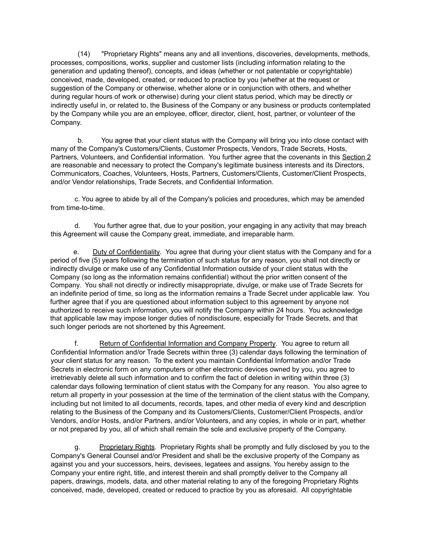(14) "Proprietary Rights" means any and all inventions, discoveries, developments, methods, processes, compositions, works, supplier and customer lists (including information relating to the generation and updating thereof), concepts, and ideas (whether or not patentable or copyrightable) conceived, made, developed, created, or reduced to practice by you (whether at the request or suggestion of the Company or otherwise, whether alone or in conjunction with others, and whether during regular hours of work or otherwise) during your client status period, which may be directly or indirectly useful in, or related to, the Business of the Company or any business or products contemplated by the Company while you are an employee, officer, director, client, host, partner, or volunteer of the Company.

b. You agree that your client status with the Company will bring you into close contact with many of the Company's Customers/Clients, Customer Prospects, Vendors, Trade Secrets, Hosts, Partners, Volunteers, and Confidential information. You further agree that the covenants in this Section 2 are reasonable and necessary to protect the Company's legitimate business interests and its Directors, Communicators, Coaches, Volunteers, Hosts, Partners, Customers/Clients, Customer/Client Prospects, and/or Vendor relationships, Trade Secrets, and Confidential Information.

c. You agree to abide by all of the Company's policies and procedures, which may be amended from time-to-time.

d. You further agree that, due to your position, your engaging in any activity that may breach this Agreement will cause the Company great, immediate, and irreparable harm.

e. Duty of Confidentiality. You agree that during your client status with the Company and for a period of five (5) years following the termination of such status for any reason, you shall not directly or indirectly divulge or make use of any Confidential Information outside of your client status with the Company (so long as the information remains confidential) without the prior written consent of the Company. You shall not directly or indirectly misappropriate, divulge, or make use of Trade Secrets for an indefinite period of time, so long as the information remains a Trade Secret under applicable law. You further agree that if you are questioned about information subject to this agreement by anyone not authorized to receive such information, you will notify the Company within 24 hours. You acknowledge that applicable law may impose longer duties of nondisclosure, especially for Trade Secrets, and that such longer periods are not shortened by this Agreement.

f. Return of Confidential Information and Company Property. You agree to return all Confidential Information and/or Trade Secrets within three (3) calendar days following the termination of your client status for any reason. To the extent you maintain Confidential Information and/or Trade Secrets in electronic form on any computers or other electronic devices owned by you, you agree to irretrievably delete all such information and to confirm the fact of deletion in writing within three (3) calendar days following termination of client status with the Company for any reason. You also agree to return all property in your possession at the time of the termination of the client status with the Company, including but not limited to all documents, records, tapes, and other media of every kind and description relating to the Business of the Company and its Customers/Clients, Customer/Client Prospects, and/or Vendors, and/or Hosts, and/or Partners, and/or Volunteers, and any copies, in whole or in part, whether or not prepared by you, all of which shall remain the sole and exclusive property of the Company.

g. Proprietary Rights. Proprietary Rights shall be promptly and fully disclosed by you to the Company's General Counsel and/or President and shall be the exclusive property of the Company as against you and your successors, heirs, devisees, legatees and assigns. You hereby assign to the Company your entire right, title, and interest therein and shall promptly deliver to the Company all papers, drawings, models, data, and other material relating to any of the foregoing Proprietary Rights conceived, made, developed, created or reduced to practice by you as aforesaid. All copyrightable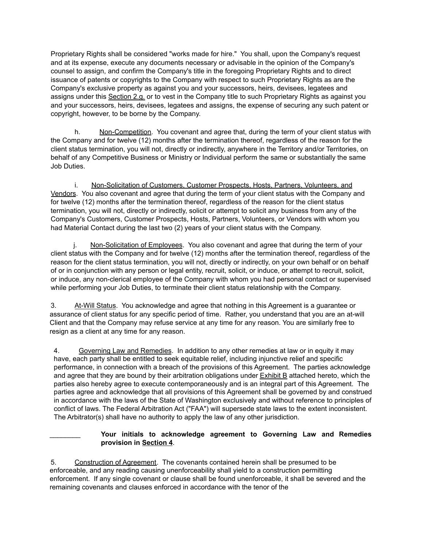Proprietary Rights shall be considered "works made for hire." You shall, upon the Company's request and at its expense, execute any documents necessary or advisable in the opinion of the Company's counsel to assign, and confirm the Company's title in the foregoing Proprietary Rights and to direct issuance of patents or copyrights to the Company with respect to such Proprietary Rights as are the Company's exclusive property as against you and your successors, heirs, devisees, legatees and assigns under this Section 2.g. or to vest in the Company title to such Proprietary Rights as against you and your successors, heirs, devisees, legatees and assigns, the expense of securing any such patent or copyright, however, to be borne by the Company.

h. Non-Competition. You covenant and agree that, during the term of your client status with the Company and for twelve (12) months after the termination thereof, regardless of the reason for the client status termination, you will not, directly or indirectly, anywhere in the Territory and/or Territories, on behalf of any Competitive Business or Ministry or Individual perform the same or substantially the same Job Duties.

i. Non-Solicitation of Customers, Customer Prospects, Hosts, Partners, Volunteers, and Vendors. You also covenant and agree that during the term of your client status with the Company and for twelve (12) months after the termination thereof, regardless of the reason for the client status termination, you will not, directly or indirectly, solicit or attempt to solicit any business from any of the Company's Customers, Customer Prospects, Hosts, Partners, Volunteers, or Vendors with whom you had Material Contact during the last two (2) years of your client status with the Company.

j. Non-Solicitation of Employees. You also covenant and agree that during the term of your client status with the Company and for twelve (12) months after the termination thereof, regardless of the reason for the client status termination, you will not, directly or indirectly, on your own behalf or on behalf of or in conjunction with any person or legal entity, recruit, solicit, or induce, or attempt to recruit, solicit, or induce, any non-clerical employee of the Company with whom you had personal contact or supervised while performing your Job Duties, to terminate their client status relationship with the Company.

3. At-Will Status. You acknowledge and agree that nothing in this Agreement is a guarantee or assurance of client status for any specific period of time. Rather, you understand that you are an at-will Client and that the Company may refuse service at any time for any reason. You are similarly free to resign as a client at any time for any reason.

4. Governing Law and Remedies. In addition to any other remedies at law or in equity it may have, each party shall be entitled to seek equitable relief, including injunctive relief and specific performance, in connection with a breach of the provisions of this Agreement. The parties acknowledge and agree that they are bound by their arbitration obligations under Exhibit B attached hereto, which the parties also hereby agree to execute contemporaneously and is an integral part of this Agreement. The parties agree and acknowledge that all provisions of this Agreement shall be governed by and construed in accordance with the laws of the State of Washington exclusively and without reference to principles of conflict of laws. The Federal Arbitration Act ("FAA") will supersede state laws to the extent inconsistent. The Arbitrator(s) shall have no authority to apply the law of any other jurisdiction.

\_\_\_\_\_\_\_\_ **Your initials to acknowledge agreement to Governing Law and Remedies provision in Section 4**.

5. Construction of Agreement. The covenants contained herein shall be presumed to be enforceable, and any reading causing unenforceability shall yield to a construction permitting enforcement. If any single covenant or clause shall be found unenforceable, it shall be severed and the remaining covenants and clauses enforced in accordance with the tenor of the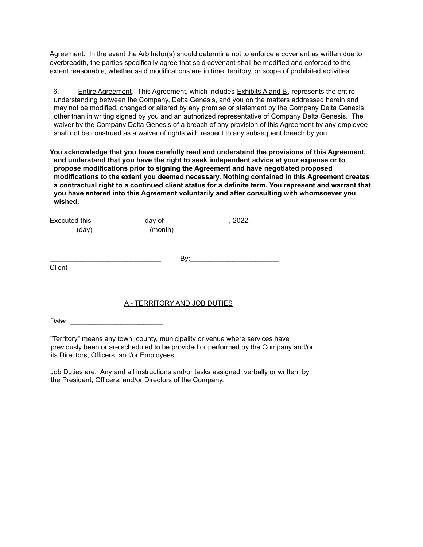Agreement. In the event the Arbitrator(s) should determine not to enforce a covenant as written due to overbreadth, the parties specifically agree that said covenant shall be modified and enforced to the extent reasonable, whether said modifications are in time, territory, or scope of prohibited activities.

6. Entire Agreement. This Agreement, which includes Exhibits A and B, represents the entire understanding between the Company, Delta Genesis, and you on the matters addressed herein and may not be modified, changed or altered by any promise or statement by the Company Delta Genesis other than in writing signed by you and an authorized representative of Company Delta Genesis. The waiver by the Company Delta Genesis of a breach of any provision of this Agreement by any employee shall not be construed as a waiver of rights with respect to any subsequent breach by you.

**You acknowledge that you have carefully read and understand the provisions of this Agreement, and understand that you have the right to seek independent advice at your expense or to propose modifications prior to signing the Agreement and have negotiated proposed modifications to the extent you deemed necessary. Nothing contained in this Agreement creates a contractual right to a continued client status for a definite term. You represent and warrant that you have entered into this Agreement voluntarily and after consulting with whomsoever you wished.**

| Executed this | day of  | 2022. |
|---------------|---------|-------|
| (day)         | (month) |       |

**Client** 

# A - TERRITORY AND JOB DUTIES

Date: \_\_\_\_\_\_\_\_\_\_\_\_\_\_\_\_\_\_\_\_\_\_\_\_

"Territory" means any town, county, municipality or venue where services have previously been or are scheduled to be provided or performed by the Company and/or its Directors, Officers, and/or Employees.

Job Duties are: Any and all instructions and/or tasks assigned, verbally or written, by the President, Officers, and/or Directors of the Company.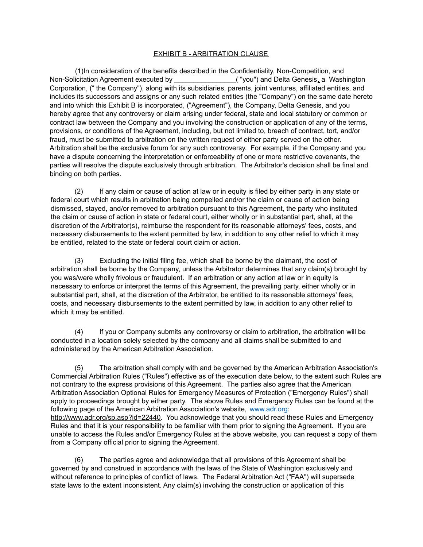### EXHIBIT B - ARBITRATION CLAUSE

(1)In consideration of the benefits described in the Confidentiality, Non-Competition, and Non-Solicitation Agreement executed by \_\_\_\_\_\_\_\_\_\_\_\_\_\_\_\_("you") and Delta Genesis, a Washington Corporation, (" the Company"), along with its subsidiaries, parents, joint ventures, affiliated entities, and includes its successors and assigns or any such related entities (the "Company") on the same date hereto and into which this Exhibit B is incorporated, ("Agreement"), the Company, Delta Genesis, and you hereby agree that any controversy or claim arising under federal, state and local statutory or common or contract law between the Company and you involving the construction or application of any of the terms, provisions, or conditions of the Agreement, including, but not limited to, breach of contract, tort, and/or fraud, must be submitted to arbitration on the written request of either party served on the other. Arbitration shall be the exclusive forum for any such controversy. For example, if the Company and you have a dispute concerning the interpretation or enforceability of one or more restrictive covenants, the parties will resolve the dispute exclusively through arbitration. The Arbitrator's decision shall be final and binding on both parties.

(2) If any claim or cause of action at law or in equity is filed by either party in any state or federal court which results in arbitration being compelled and/or the claim or cause of action being dismissed, stayed, and/or removed to arbitration pursuant to this Agreement, the party who instituted the claim or cause of action in state or federal court, either wholly or in substantial part, shall, at the discretion of the Arbitrator(s), reimburse the respondent for its reasonable attorneys' fees, costs, and necessary disbursements to the extent permitted by law, in addition to any other relief to which it may be entitled, related to the state or federal court claim or action.

(3) Excluding the initial filing fee, which shall be borne by the claimant, the cost of arbitration shall be borne by the Company, unless the Arbitrator determines that any claim(s) brought by you was/were wholly frivolous or fraudulent. If an arbitration or any action at law or in equity is necessary to enforce or interpret the terms of this Agreement, the prevailing party, either wholly or in substantial part, shall, at the discretion of the Arbitrator, be entitled to its reasonable attorneys' fees, costs, and necessary disbursements to the extent permitted by law, in addition to any other relief to which it may be entitled.

(4) If you or Company submits any controversy or claim to arbitration, the arbitration will be conducted in a location solely selected by the company and all claims shall be submitted to and administered by the American Arbitration Association.

(5) The arbitration shall comply with and be governed by the American Arbitration Association's Commercial Arbitration Rules ("Rules") effective as of the execution date below, to the extent such Rules are not contrary to the express provisions of this Agreement. The parties also agree that the American Arbitration Association Optional Rules for Emergency Measures of Protection ("Emergency Rules") shall apply to proceedings brought by either party. The above Rules and Emergency Rules can be found at the following page of the American Arbitration Association's website, [www.adr.org:](http://www.adr.org) http://www.adr.org/sp.asp?id=22440. You acknowledge that you should read these Rules and Emergency Rules and that it is your responsibility to be familiar with them prior to signing the Agreement. If you are unable to access the Rules and/or Emergency Rules at the above website, you can request a copy of them from a Company official prior to signing the Agreement.

(6) The parties agree and acknowledge that all provisions of this Agreement shall be governed by and construed in accordance with the laws of the State of Washington exclusively and without reference to principles of conflict of laws. The Federal Arbitration Act ("FAA") will supersede state laws to the extent inconsistent. Any claim(s) involving the construction or application of this